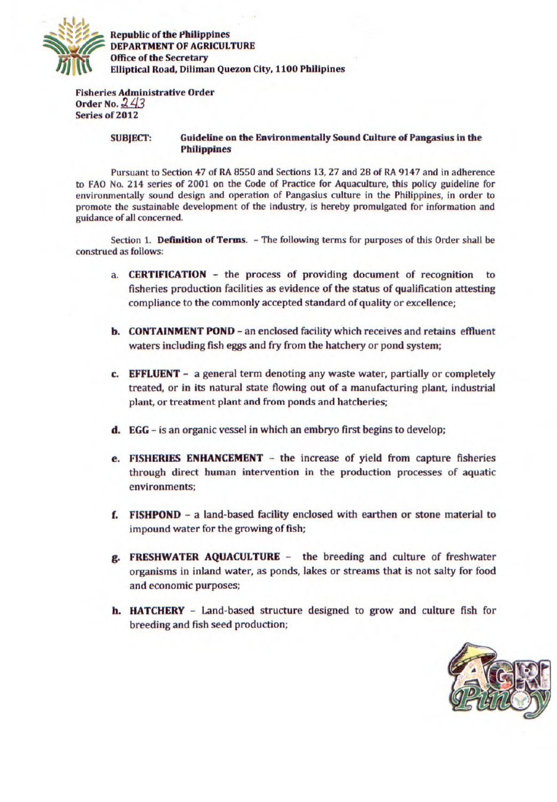

**Republic of the Philippines DEPARTMENT OF AGRICULTURE DEPARTMENT OF AGRICE Of the Secretary** *P1 Elliptical Road, Diliman* **Office of the Secretary** Elliptical Road, Diliman **Quezon** City, 1100 Phllipines

**Fisheries Administrative Order Order No. 243 Series of 2012** 

## **SUBJECT: Guideline on the Environmentally Sound Culture of Pangasius in the Philippines**

Pursuant to Section *47 of RA* 8550 and Sections *13, 27* and *28 of RA 9147* and in adherence to FAO No. 214 series *of 2001* on the Code *of* Practice for Aquaculture, this policy guideline for environmentally sound design and operation of Pangasius culture in the Philippines, in order to promote the sustainable development of the industry, is hereby promulgated for information and guidance *of* all concerned.

Section 1. **Definition of Terms.** - The following terms for purposes of this Order shall be construed as follows:

- **a. CERTIFICATION**  the process of providing document of recognition to fisheries production facilities as evidence of the status of qualification attesting compliance to the commonly accepted standard of quality or excellence;
- **b. CONTAINMENT POND an enclosed facility which receives and retains effluent** waters including fish eggs and fry from the hatchery or pond system;
- **C. EFFLUENT** a general term denoting any waste water, partially or completely treated, or in its natural state flowing out of a manufacturing plant, industrial plant, or treatment plant and from ponds and hatcheries;
- **d. EGG**  is an organic vessel in which an embryo first begins to develop;
- **e. FISHERIES ENHANCEMENT**  the increase of yield from capture fisheries through direct human intervention in the production processes of aquatic environments;
- **E FISHPOND** a land-based facility enclosed with earthen or stone material to impound water for the growing of fish;
- **g. FRESHWATER AQUACULTLJRE**  the breeding and culture of freshwater organisms in inland water, as ponds, lakes or streams that is not salty for food and economic purposes;
- **h. HATCHERY**  Land-based structure designed to grow and culture fish for breeding and fish seed production;

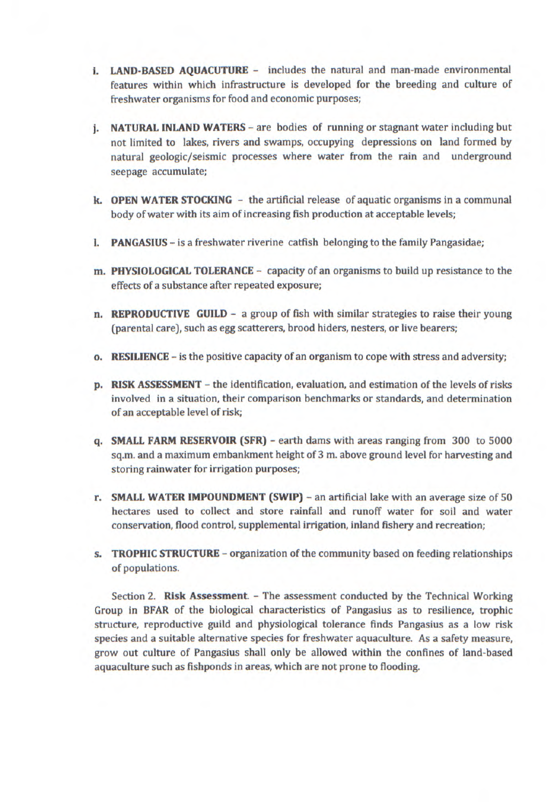- **I. LAND-BASED AQUACUTURE -** includes the natural and man-made environmental features within which infrastructure is developed for the breeding and culture of freshwater organisms for food and economic purposes;
- **j. NATURAL INLAND WATERS**  are bodies of running or stagnant water including but not limited to lakes, rivers and swamps, occupying depressions on land formed by natural geologic/seismic processes where water from the rain and underground seepage accumulate;
- **k. OPEN WATER STOCKING** the artificial release of aquatic organisms in a communal body of water with its aim of increasing fish production at acceptable levels;
- **I. PANGASIUS**  is a freshwater riverine catfish belonging to the family Pangasidae;
- **m. PHYSIOLOGICAL TOLERANCE**  capacity of an organisms to build up resistance to the effects of a substance after repeated exposure;
- **n. REPRODUCTIVE GUILD** a group of fish with similar strategies to raise their young (parental care), such as egg scatterers, brood hiders, nesters, or live bearers;
- **o. RESILIENCE**  is the positive capacity of an organism to cope with stress and adversity;
- **p. RISK ASSESSMENT**  the identification, evaluation, and estimation of the levels of risks involved in a situation, their comparison benchmarks or standards, and determination of an acceptable level of risk;
- **q. SMALL FARM RESERVOIR (SFR)**  earth dams with areas ranging from 300 to 5000 sq.m. and a maximum embankment height of 3 m. above ground level for harvesting and storing rainwater for irrigation purposes;
- **r.** SMALL WATER IMPOUNDMENT (SWIP) an artificial lake with an average size of 50 hectares used to collect and store rainfall and runoff water for soil and water conservation, flood control, supplemental irrigation, inland fishery and recreation;
- **s. TROPHIC STRUCTURE**  organization of the community based on feeding relationships of populations.

Section 2. **Risk Assessment.** - The assessment conducted by the Technical Working Group in BFAR of the biological characteristics of Pangasius as to resilience, trophic structure, reproductive guild and physiological tolerance finds Pangasius as a low risk species and a suitable alternative species for freshwater aquaculture. As a safety measure, grow out culture of Pangasius shall only be allowed within the confines of land-based aquaculture such as fishponds in areas, which are not prone to flooding.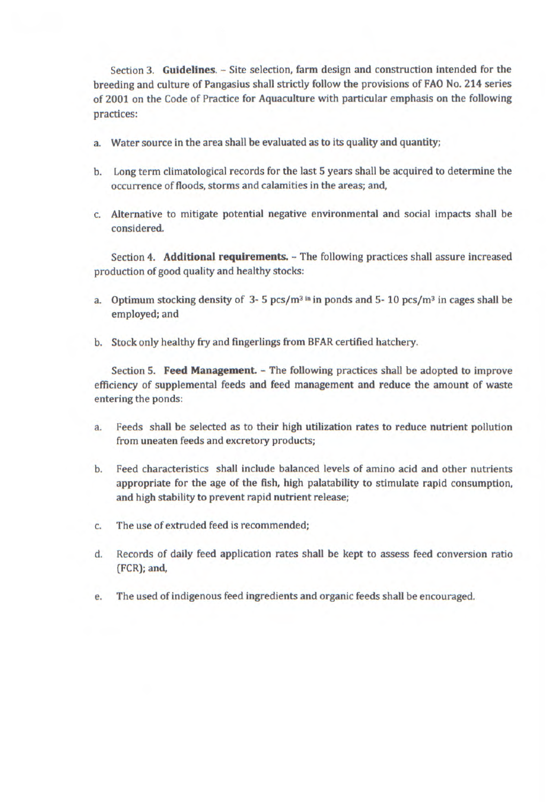Section 3. **Guidelines.** - Site selection, farm design and construction intended for the breeding and culture of Pangasius shall strictly follow the provisions of FAO No. 214 series of 2001 on the Code of Practice for Aquaculture with particular emphasis on the following practices:

- a. Water source in the area shall be evaluated as to its quality and quantity;
- b. Long term climatological records for the last 5 years shall be acquired to determine the occurrence of floods, storms and calamities in the areas; and,
- c. Alternative to mitigate potential negative environmental and social impacts shall be considered.

Section 4. **Additional requirements.** - The following practices shall assure increased production of good quality and healthy stocks:

- a. Optimum stocking density of 3- 5 pcs/m3 **in** in ponds and 5- 10 pcs/m3in cages shall be employed; and
- b. Stock only healthy fry and fingerlings from BFAR certified hatchery.

Section S. **Feed Management.** - The following practices shall be adopted to improve efficiency of supplemental feeds and feed management and reduce the amount of waste entering the ponds:

- a. Feeds shall be selected as to their high utilization rates to reduce nutrient pollution from uneaten feeds and excretory products;
- b. Feed characteristics shall include balanced levels of amino acid and other nutrients appropriate for the age of the fish, high palatability to stimulate rapid consumption, and high stability to prevent rapid nutrient release;
- c. The use of extruded feed is recommended;
- d. Records of daily feed application rates shall be kept to assess feed conversion ratio (FCR); and,
- e. The used of indigenous feed ingredients and organic feeds shall be encouraged.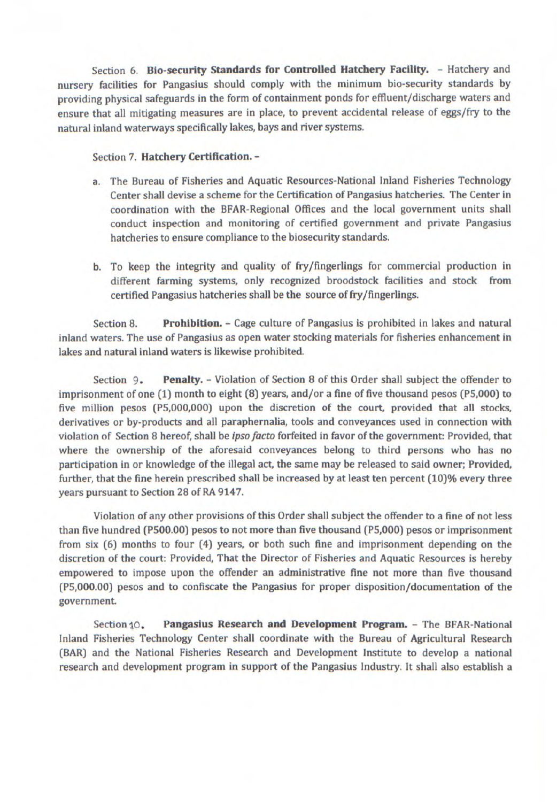Section 6. **Bio-security Standards for Controlled Hatchery Facility.** - Hatchery and nursery facilities for Pangasius should comply with the minimum bio-security standards by providing physical safeguards in the form of containment ponds for effluent/discharge waters and ensure that all mitigating measures are in place, to prevent accidental release of eggs/fry to the natural inland waterways specifically lakes, bays and river systems.

## Section 7. **Hatchery Certification.** -

- a. The Bureau of Fisheries and Aquatic Resources-National Inland Fisheries Technology Center shall devise a scheme for the Certification of Pangasius hatcheries. The Center in coordination with the BFAR-Regional Offices and the local government units shall conduct inspection and monitoring of certified government and private Pangasius hatcheries to ensure compliance to the biosecurity standards.
- b. To keep the integrity and quality of fry/fingerlings for commercial production in different farming systems, only recognized broodstock facilities and stock from certified Pangasius hatcheries shall be the source of fry/fingerlings.

Section 8. **Prohibition.** - Cage culture of Pangasius is prohibited in lakes and natural inland waters. The use of Pangasius as open water stocking materials for fisheries enhancement in lakes and natural inland waters is likewise prohibited.

Section 9. **Penalty.** - Violation of Section 8 of this Order shall subject the offender to imprisonment of one (1) month to eight (8) years, and/or a fine of five thousand pesos (P5,000) to five million pesos (P5,000,000) upon the discretion of the court, provided that all stocks, derivatives or by-products and all paraphernalia, tools and conveyances used in connection with violation of Section 8 hereof, shall be *ipso facto* forfeited in favor of the government: Provided, that where the ownership of the aforesaid conveyances belong to third persons who has no participation in or knowledge of the illegal act, the same may be released to said owner; Provided, further, that the fine herein prescribed shall be increased by at least ten percent (10)% every three years pursuant to Section 28 of RA 9147.

Violation of any other provisions of this Order shall subject the offender to a fine of not less than five hundred (P500.00) pesos to not more than five thousand (P5,000) pesos or imprisonment from six (6) months to four (4) years, or both such fine and imprisonment depending on the discretion of the court: Provided, That the Director of Fisheries and Aquatic Resources is hereby empowered to impose upon the offender an administrative fine not more than five thousand (P5,000.00) pesos and to confiscate the Pangasius for proper disposition/documentation of the government.

Section 10. **Pangasius Research and Development Program.** - The BFAR-National Inland Fisheries Technology Center shall coordinate with the Bureau of Agricultural Research (BAR) and the National Fisheries Research and Development Institute to develop a national research and development program in support of the Pangasius Industry, It shall also establish a